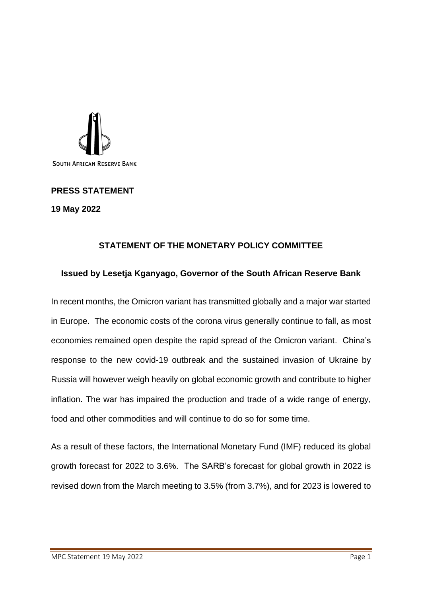

**PRESS STATEMENT 19 May 2022**

## **STATEMENT OF THE MONETARY POLICY COMMITTEE**

## **Issued by Lesetja Kganyago, Governor of the South African Reserve Bank**

In recent months, the Omicron variant has transmitted globally and a major war started in Europe. The economic costs of the corona virus generally continue to fall, as most economies remained open despite the rapid spread of the Omicron variant. China's response to the new covid-19 outbreak and the sustained invasion of Ukraine by Russia will however weigh heavily on global economic growth and contribute to higher inflation. The war has impaired the production and trade of a wide range of energy, food and other commodities and will continue to do so for some time.

As a result of these factors, the International Monetary Fund (IMF) reduced its global growth forecast for 2022 to 3.6%. The SARB's forecast for global growth in 2022 is revised down from the March meeting to 3.5% (from 3.7%), and for 2023 is lowered to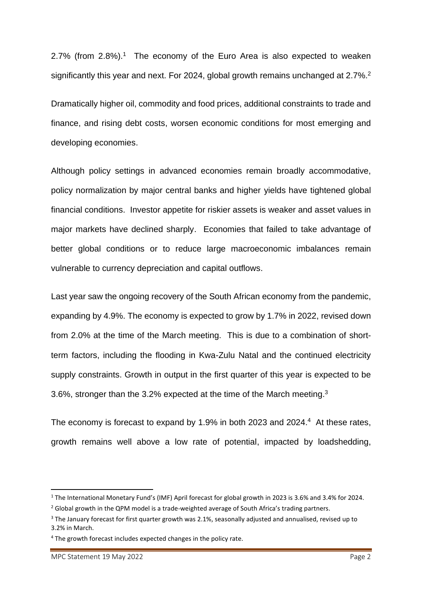2.7% (from  $2.8\%$ ).<sup>1</sup> The economy of the Euro Area is also expected to weaken significantly this year and next. For 2024, global growth remains unchanged at 2.7%.<sup>2</sup>

Dramatically higher oil, commodity and food prices, additional constraints to trade and finance, and rising debt costs, worsen economic conditions for most emerging and developing economies.

Although policy settings in advanced economies remain broadly accommodative, policy normalization by major central banks and higher yields have tightened global financial conditions. Investor appetite for riskier assets is weaker and asset values in major markets have declined sharply. Economies that failed to take advantage of better global conditions or to reduce large macroeconomic imbalances remain vulnerable to currency depreciation and capital outflows.

Last year saw the ongoing recovery of the South African economy from the pandemic, expanding by 4.9%. The economy is expected to grow by 1.7% in 2022, revised down from 2.0% at the time of the March meeting. This is due to a combination of shortterm factors, including the flooding in Kwa-Zulu Natal and the continued electricity supply constraints. Growth in output in the first quarter of this year is expected to be 3.6%, stronger than the 3.2% expected at the time of the March meeting.<sup>3</sup>

The economy is forecast to expand by 1.9% in both 2023 and 2024. <sup>4</sup> At these rates, growth remains well above a low rate of potential, impacted by loadshedding,

<sup>1</sup> The International Monetary Fund's (IMF) April forecast for global growth in 2023 is 3.6% and 3.4% for 2024.

<sup>&</sup>lt;sup>2</sup> Global growth in the QPM model is a trade-weighted average of South Africa's trading partners.

<sup>&</sup>lt;sup>3</sup> The January forecast for first quarter growth was 2.1%, seasonally adjusted and annualised, revised up to 3.2% in March.

<sup>4</sup> The growth forecast includes expected changes in the policy rate.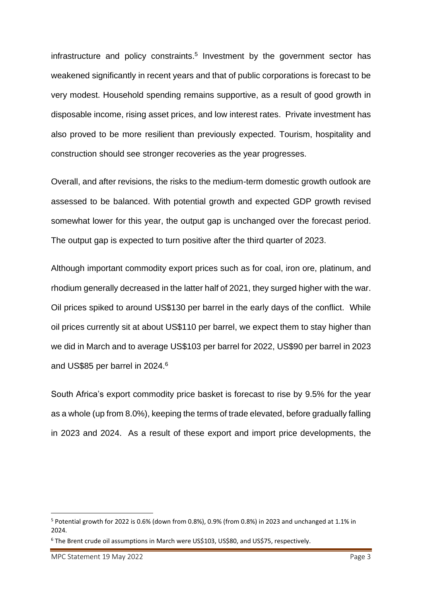infrastructure and policy constraints.<sup>5</sup> Investment by the government sector has weakened significantly in recent years and that of public corporations is forecast to be very modest. Household spending remains supportive, as a result of good growth in disposable income, rising asset prices, and low interest rates. Private investment has also proved to be more resilient than previously expected. Tourism, hospitality and construction should see stronger recoveries as the year progresses.

Overall, and after revisions, the risks to the medium-term domestic growth outlook are assessed to be balanced. With potential growth and expected GDP growth revised somewhat lower for this year, the output gap is unchanged over the forecast period. The output gap is expected to turn positive after the third quarter of 2023.

Although important commodity export prices such as for coal, iron ore, platinum, and rhodium generally decreased in the latter half of 2021, they surged higher with the war. Oil prices spiked to around US\$130 per barrel in the early days of the conflict. While oil prices currently sit at about US\$110 per barrel, we expect them to stay higher than we did in March and to average US\$103 per barrel for 2022, US\$90 per barrel in 2023 and US\$85 per barrel in 2024.<sup>6</sup>

South Africa's export commodity price basket is forecast to rise by 9.5% for the year as a whole (up from 8.0%), keeping the terms of trade elevated, before gradually falling in 2023 and 2024. As a result of these export and import price developments, the

<sup>5</sup> Potential growth for 2022 is 0.6% (down from 0.8%), 0.9% (from 0.8%) in 2023 and unchanged at 1.1% in 2024.

<sup>6</sup> The Brent crude oil assumptions in March were US\$103, US\$80, and US\$75, respectively.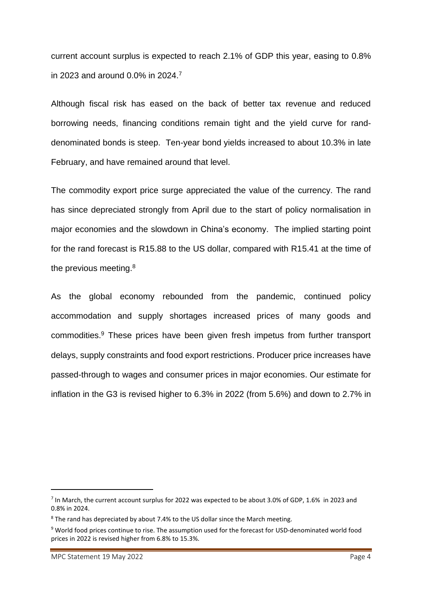current account surplus is expected to reach 2.1% of GDP this year, easing to 0.8% in 2023 and around 0.0% in 2024.<sup>7</sup>

Although fiscal risk has eased on the back of better tax revenue and reduced borrowing needs, financing conditions remain tight and the yield curve for randdenominated bonds is steep. Ten-year bond yields increased to about 10.3% in late February, and have remained around that level.

The commodity export price surge appreciated the value of the currency. The rand has since depreciated strongly from April due to the start of policy normalisation in major economies and the slowdown in China's economy. The implied starting point for the rand forecast is R15.88 to the US dollar, compared with R15.41 at the time of the previous meeting.<sup>8</sup>

As the global economy rebounded from the pandemic, continued policy accommodation and supply shortages increased prices of many goods and commodities. <sup>9</sup> These prices have been given fresh impetus from further transport delays, supply constraints and food export restrictions. Producer price increases have passed-through to wages and consumer prices in major economies. Our estimate for inflation in the G3 is revised higher to 6.3% in 2022 (from 5.6%) and down to 2.7% in

<sup>&</sup>lt;sup>7</sup> In March, the current account surplus for 2022 was expected to be about 3.0% of GDP, 1.6% in 2023 and 0.8% in 2024.

<sup>&</sup>lt;sup>8</sup> The rand has depreciated by about 7.4% to the US dollar since the March meeting.

<sup>9</sup> World food prices continue to rise. The assumption used for the forecast for USD-denominated world food prices in 2022 is revised higher from 6.8% to 15.3%.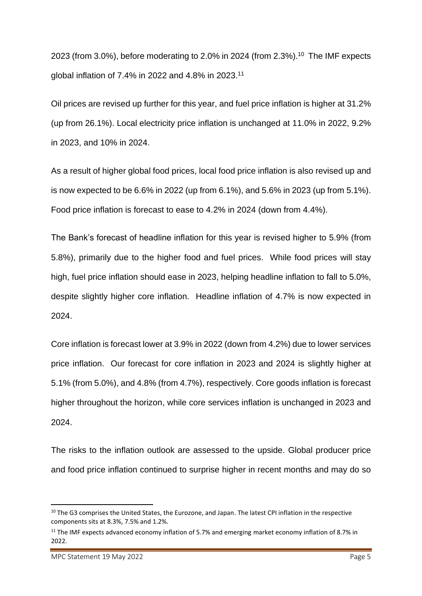2023 (from 3.0%), before moderating to 2.0% in 2024 (from 2.3%). 10 The IMF expects global inflation of 7.4% in 2022 and 4.8% in 2023.<sup>11</sup>

Oil prices are revised up further for this year, and fuel price inflation is higher at 31.2% (up from 26.1%). Local electricity price inflation is unchanged at 11.0% in 2022, 9.2% in 2023, and 10% in 2024.

As a result of higher global food prices, local food price inflation is also revised up and is now expected to be 6.6% in 2022 (up from 6.1%), and 5.6% in 2023 (up from 5.1%). Food price inflation is forecast to ease to 4.2% in 2024 (down from 4.4%).

The Bank's forecast of headline inflation for this year is revised higher to 5.9% (from 5.8%), primarily due to the higher food and fuel prices. While food prices will stay high, fuel price inflation should ease in 2023, helping headline inflation to fall to 5.0%, despite slightly higher core inflation. Headline inflation of 4.7% is now expected in 2024.

Core inflation is forecast lower at 3.9% in 2022 (down from 4.2%) due to lower services price inflation. Our forecast for core inflation in 2023 and 2024 is slightly higher at 5.1% (from 5.0%), and 4.8% (from 4.7%), respectively. Core goods inflation is forecast higher throughout the horizon, while core services inflation is unchanged in 2023 and 2024.

The risks to the inflation outlook are assessed to the upside. Global producer price and food price inflation continued to surprise higher in recent months and may do so

<sup>&</sup>lt;sup>10</sup> The G3 comprises the United States, the Eurozone, and Japan. The latest CPI inflation in the respective components sits at 8.3%, 7.5% and 1.2%.

 $11$  The IMF expects advanced economy inflation of 5.7% and emerging market economy inflation of 8.7% in 2022.

MPC Statement 19 May 2022 **Page 5**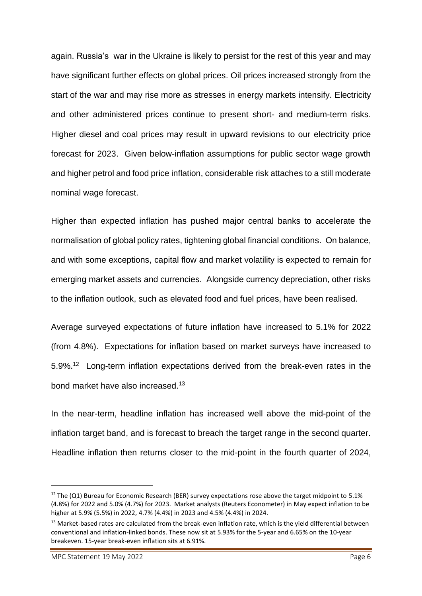again. Russia's war in the Ukraine is likely to persist for the rest of this year and may have significant further effects on global prices. Oil prices increased strongly from the start of the war and may rise more as stresses in energy markets intensify. Electricity and other administered prices continue to present short- and medium-term risks. Higher diesel and coal prices may result in upward revisions to our electricity price forecast for 2023. Given below-inflation assumptions for public sector wage growth and higher petrol and food price inflation, considerable risk attaches to a still moderate nominal wage forecast.

Higher than expected inflation has pushed major central banks to accelerate the normalisation of global policy rates, tightening global financial conditions. On balance, and with some exceptions, capital flow and market volatility is expected to remain for emerging market assets and currencies. Alongside currency depreciation, other risks to the inflation outlook, such as elevated food and fuel prices, have been realised.

Average surveyed expectations of future inflation have increased to 5.1% for 2022 (from 4.8%). Expectations for inflation based on market surveys have increased to 5.9%.<sup>12</sup> Long-term inflation expectations derived from the break-even rates in the bond market have also increased.<sup>13</sup>

In the near-term, headline inflation has increased well above the mid-point of the inflation target band, and is forecast to breach the target range in the second quarter. Headline inflation then returns closer to the mid-point in the fourth quarter of 2024,

<sup>&</sup>lt;sup>12</sup> The (Q1) Bureau for Economic Research (BER) survey expectations rose above the target midpoint to 5.1% (4.8%) for 2022 and 5.0% (4.7%) for 2023. Market analysts (Reuters Econometer) in May expect inflation to be higher at 5.9% (5.5%) in 2022, 4.7% (4.4%) in 2023 and 4.5% (4.4%) in 2024.

<sup>&</sup>lt;sup>13</sup> Market-based rates are calculated from the break-even inflation rate, which is the yield differential between conventional and inflation-linked bonds. These now sit at 5.93% for the 5-year and 6.65% on the 10-year breakeven. 15-year break-even inflation sits at 6.91%.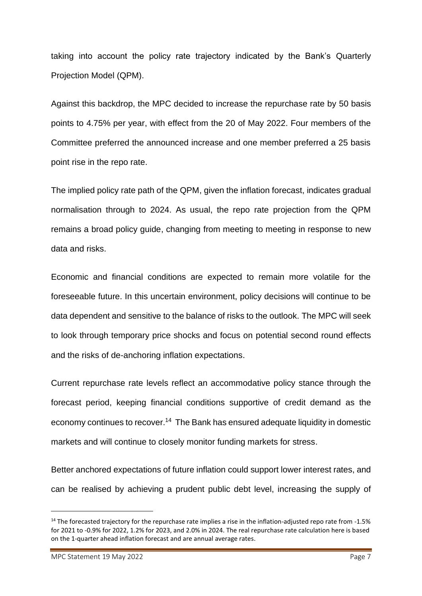taking into account the policy rate trajectory indicated by the Bank's Quarterly Projection Model (QPM).

Against this backdrop, the MPC decided to increase the repurchase rate by 50 basis points to 4.75% per year, with effect from the 20 of May 2022. Four members of the Committee preferred the announced increase and one member preferred a 25 basis point rise in the repo rate.

The implied policy rate path of the QPM, given the inflation forecast, indicates gradual normalisation through to 2024. As usual, the repo rate projection from the QPM remains a broad policy guide, changing from meeting to meeting in response to new data and risks.

Economic and financial conditions are expected to remain more volatile for the foreseeable future. In this uncertain environment, policy decisions will continue to be data dependent and sensitive to the balance of risks to the outlook. The MPC will seek to look through temporary price shocks and focus on potential second round effects and the risks of de-anchoring inflation expectations.

Current repurchase rate levels reflect an accommodative policy stance through the forecast period, keeping financial conditions supportive of credit demand as the economy continues to recover.<sup>14</sup> The Bank has ensured adequate liquidity in domestic markets and will continue to closely monitor funding markets for stress.

Better anchored expectations of future inflation could support lower interest rates, and can be realised by achieving a prudent public debt level, increasing the supply of

 $14$  The forecasted trajectory for the repurchase rate implies a rise in the inflation-adjusted repo rate from -1.5% for 2021 to -0.9% for 2022, 1.2% for 2023, and 2.0% in 2024. The real repurchase rate calculation here is based on the 1-quarter ahead inflation forecast and are annual average rates.